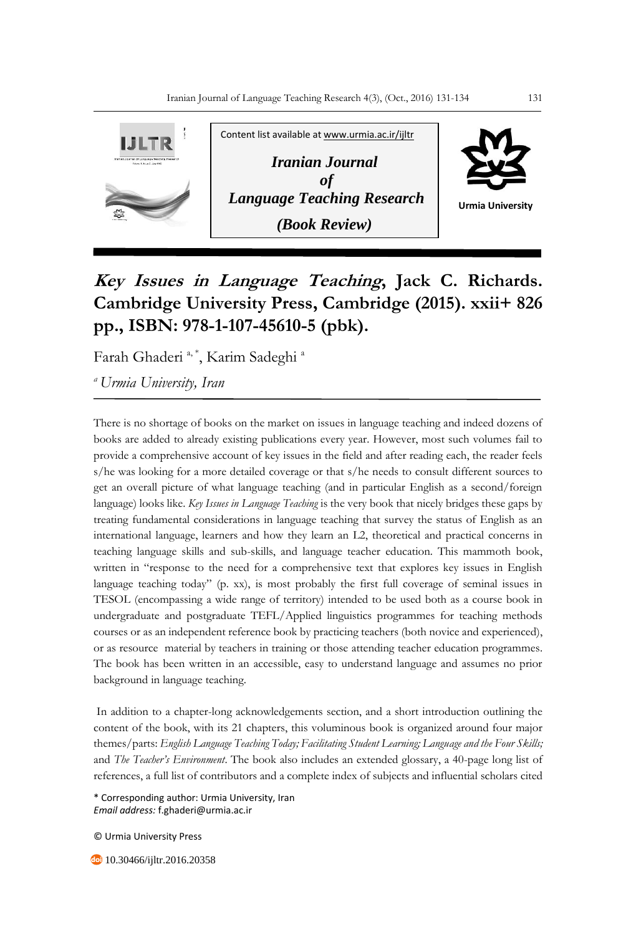

## **Key Issues in Language Teaching, Jack C. Richards. Cambridge University Press, Cambridge (2015). xxii+ 826 pp., ISBN: 978-1-107-45610-5 (pbk).**

Farah Ghaderi <sup>a, \*</sup>, Karim Sadeghi <sup>a</sup>

*<sup>a</sup>Urmia University, Iran*

There is no shortage of books on the market on issues in language teaching and indeed dozens of books are added to already existing publications every year. However, most such volumes fail to provide a comprehensive account of key issues in the field and after reading each, the reader feels s/he was looking for a more detailed coverage or that s/he needs to consult different sources to get an overall picture of what language teaching (and in particular English as a second/foreign language) looks like. *Key Issues in Language Teaching* is the very book that nicely bridges these gaps by treating fundamental considerations in language teaching that survey the status of English as an international language, learners and how they learn an L2, theoretical and practical concerns in teaching language skills and sub-skills, and language teacher education. This mammoth book, written in "response to the need for a comprehensive text that explores key issues in English language teaching today" (p. xx), is most probably the first full coverage of seminal issues in TESOL (encompassing a wide range of territory) intended to be used both as a course book in undergraduate and postgraduate TEFL/Applied linguistics programmes for teaching methods courses or as an independent reference book by practicing teachers (both novice and experienced), or as resource material by teachers in training or those attending teacher education programmes. The book has been written in an accessible, easy to understand language and assumes no prior background in language teaching.

In addition to a chapter-long acknowledgements section, and a short introduction outlining the content of the book, with its 21 chapters, this voluminous book is organized around four major themes/parts: *English Language Teaching Today; Facilitating Student Learning; Language and the Four Skills;*  and *The Teacher's Environment*. The book also includes an extended glossary, a 40-page long list of references, a full list of contributors and a complete index of subjects and influential scholars cited

\* Corresponding author: Urmia University, Iran *Email address:* f.ghaderi@urmia.ac.ir

© Urmia University Press

**40** 10.30466/ijltr.2016.20358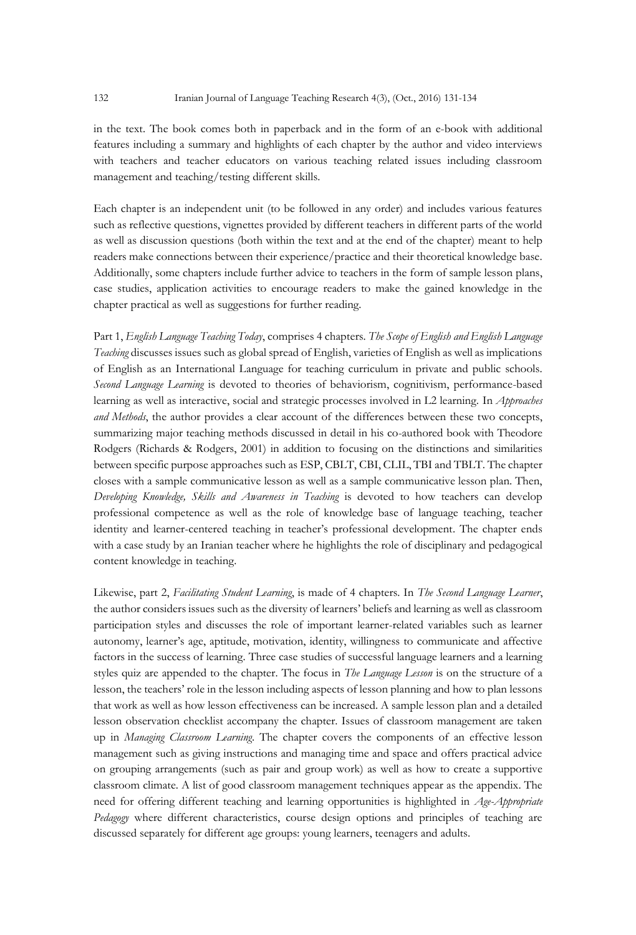in the text. The book comes both in paperback and in the form of an e-book with additional features including a summary and highlights of each chapter by the author and video interviews with teachers and teacher educators on various teaching related issues including classroom management and teaching/testing different skills.

Each chapter is an independent unit (to be followed in any order) and includes various features such as reflective questions, vignettes provided by different teachers in different parts of the world as well as discussion questions (both within the text and at the end of the chapter) meant to help readers make connections between their experience/practice and their theoretical knowledge base. Additionally, some chapters include further advice to teachers in the form of sample lesson plans, case studies, application activities to encourage readers to make the gained knowledge in the chapter practical as well as suggestions for further reading.

Part 1, *English Language Teaching Today*, comprises 4 chapters. *The Scope of English and English Language Teaching* discusses issues such as global spread of English, varieties of English as well as implications of English as an International Language for teaching curriculum in private and public schools. *Second Language Learning* is devoted to theories of behaviorism, cognitivism, performance-based learning as well as interactive, social and strategic processes involved in L2 learning. In *Approaches and Methods*, the author provides a clear account of the differences between these two concepts, summarizing major teaching methods discussed in detail in his co-authored book with Theodore Rodgers (Richards & Rodgers, 2001) in addition to focusing on the distinctions and similarities between specific purpose approaches such as ESP, CBLT, CBI, CLIL, TBI and TBLT. The chapter closes with a sample communicative lesson as well as a sample communicative lesson plan. Then, *Developing Knowledge, Skills and Awareness in Teaching* is devoted to how teachers can develop professional competence as well as the role of knowledge base of language teaching, teacher identity and learner-centered teaching in teacher's professional development. The chapter ends with a case study by an Iranian teacher where he highlights the role of disciplinary and pedagogical content knowledge in teaching.

Likewise, part 2, *Facilitating Student Learning*, is made of 4 chapters. In *The Second Language Learner*, the author considers issues such as the diversity of learners' beliefs and learning as well as classroom participation styles and discusses the role of important learner-related variables such as learner autonomy, learner's age, aptitude, motivation, identity, willingness to communicate and affective factors in the success of learning. Three case studies of successful language learners and a learning styles quiz are appended to the chapter. The focus in *The Language Lesson* is on the structure of a lesson, the teachers' role in the lesson including aspects of lesson planning and how to plan lessons that work as well as how lesson effectiveness can be increased. A sample lesson plan and a detailed lesson observation checklist accompany the chapter. Issues of classroom management are taken up in *Managing Classroom Learning*. The chapter covers the components of an effective lesson management such as giving instructions and managing time and space and offers practical advice on grouping arrangements (such as pair and group work) as well as how to create a supportive classroom climate. A list of good classroom management techniques appear as the appendix. The need for offering different teaching and learning opportunities is highlighted in *Age-Appropriate Pedagogy* where different characteristics, course design options and principles of teaching are discussed separately for different age groups: young learners, teenagers and adults.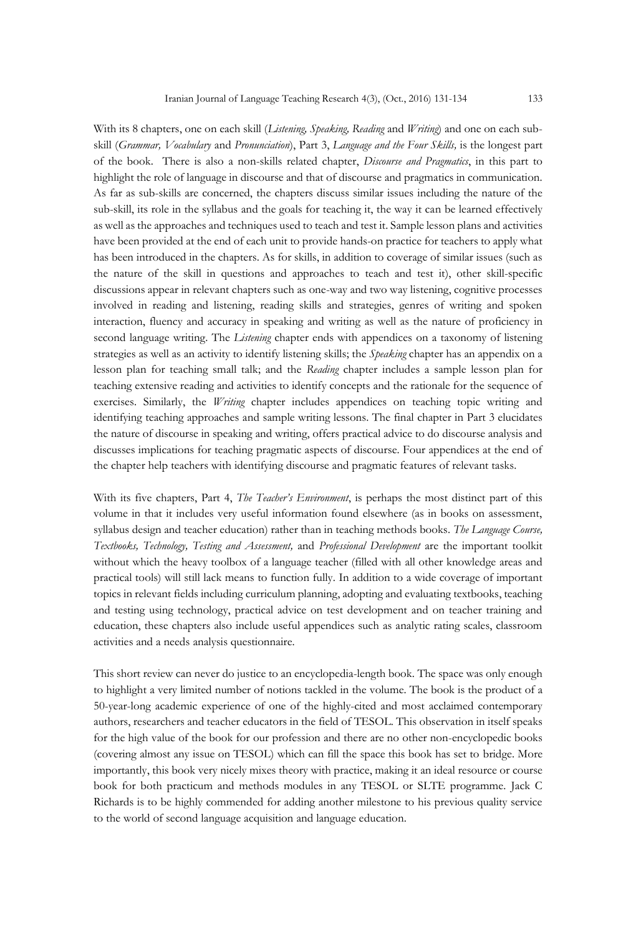With its 8 chapters, one on each skill (*Listening, Speaking, Reading* and *Writing*) and one on each subskill (*Grammar, Vocabulary* and *Pronunciation*), Part 3, *Language and the Four Skills,* is the longest part of the book. There is also a non-skills related chapter, *Discourse and Pragmatics*, in this part to highlight the role of language in discourse and that of discourse and pragmatics in communication. As far as sub-skills are concerned, the chapters discuss similar issues including the nature of the sub-skill, its role in the syllabus and the goals for teaching it, the way it can be learned effectively as well as the approaches and techniques used to teach and test it. Sample lesson plans and activities have been provided at the end of each unit to provide hands-on practice for teachers to apply what has been introduced in the chapters. As for skills, in addition to coverage of similar issues (such as the nature of the skill in questions and approaches to teach and test it), other skill-specific discussions appear in relevant chapters such as one-way and two way listening, cognitive processes involved in reading and listening, reading skills and strategies, genres of writing and spoken interaction, fluency and accuracy in speaking and writing as well as the nature of proficiency in second language writing. The *Listening* chapter ends with appendices on a taxonomy of listening strategies as well as an activity to identify listening skills; the *Speaking* chapter has an appendix on a lesson plan for teaching small talk; and the *Reading* chapter includes a sample lesson plan for teaching extensive reading and activities to identify concepts and the rationale for the sequence of exercises. Similarly, the *Writing* chapter includes appendices on teaching topic writing and identifying teaching approaches and sample writing lessons. The final chapter in Part 3 elucidates the nature of discourse in speaking and writing, offers practical advice to do discourse analysis and discusses implications for teaching pragmatic aspects of discourse. Four appendices at the end of the chapter help teachers with identifying discourse and pragmatic features of relevant tasks.

With its five chapters, Part 4, *The Teacher's Environment*, is perhaps the most distinct part of this volume in that it includes very useful information found elsewhere (as in books on assessment, syllabus design and teacher education) rather than in teaching methods books. *The Language Course, Textbooks, Technology, Testing and Assessment,* and *Professional Development* are the important toolkit without which the heavy toolbox of a language teacher (filled with all other knowledge areas and practical tools) will still lack means to function fully. In addition to a wide coverage of important topics in relevant fields including curriculum planning, adopting and evaluating textbooks, teaching and testing using technology, practical advice on test development and on teacher training and education, these chapters also include useful appendices such as analytic rating scales, classroom activities and a needs analysis questionnaire.

This short review can never do justice to an encyclopedia-length book. The space was only enough to highlight a very limited number of notions tackled in the volume. The book is the product of a 50-year-long academic experience of one of the highly-cited and most acclaimed contemporary authors, researchers and teacher educators in the field of TESOL. This observation in itself speaks for the high value of the book for our profession and there are no other non-encyclopedic books (covering almost any issue on TESOL) which can fill the space this book has set to bridge. More importantly, this book very nicely mixes theory with practice, making it an ideal resource or course book for both practicum and methods modules in any TESOL or SLTE programme. Jack C Richards is to be highly commended for adding another milestone to his previous quality service to the world of second language acquisition and language education.